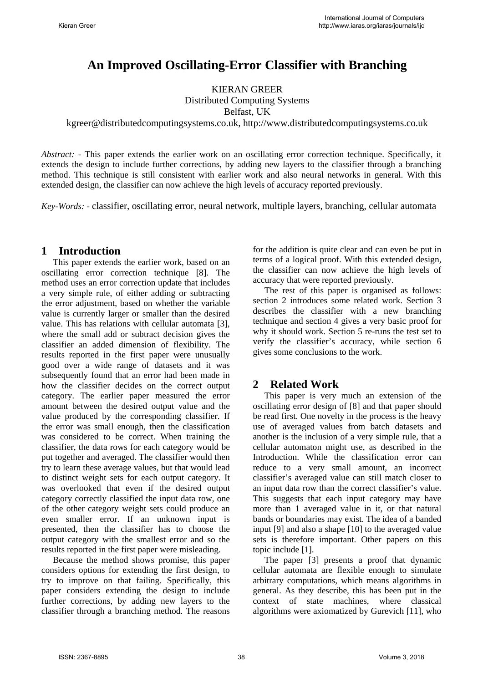# **An Improved Oscillating-Error Classifier with Branching**

KIERAN GREER

Distributed Computing Systems

Belfast, UK

kgreer@distributedcomputingsystems.co.uk, http://www.distributedcomputingsystems.co.uk

*Abstract:* - This paper extends the earlier work on an oscillating error correction technique. Specifically, it extends the design to include further corrections, by adding new layers to the classifier through a branching method. This technique is still consistent with earlier work and also neural networks in general. With this extended design, the classifier can now achieve the high levels of accuracy reported previously.

*Key-Words: -* classifier, oscillating error, neural network, multiple layers, branching, cellular automata

### **1 Introduction**

This paper extends the earlier work, based on an oscillating error correction technique [8]. The method uses an error correction update that includes a very simple rule, of either adding or subtracting the error adjustment, based on whether the variable value is currently larger or smaller than the desired value. This has relations with cellular automata [3], where the small add or subtract decision gives the classifier an added dimension of flexibility. The results reported in the first paper were unusually good over a wide range of datasets and it was subsequently found that an error had been made in how the classifier decides on the correct output category. The earlier paper measured the error amount between the desired output value and the value produced by the corresponding classifier. If the error was small enough, then the classification was considered to be correct. When training the classifier, the data rows for each category would be put together and averaged. The classifier would then try to learn these average values, but that would lead to distinct weight sets for each output category. It was overlooked that even if the desired output category correctly classified the input data row, one of the other category weight sets could produce an even smaller error. If an unknown input is presented, then the classifier has to choose the output category with the smallest error and so the results reported in the first paper were misleading.

Because the method shows promise, this paper considers options for extending the first design, to try to improve on that failing. Specifically, this paper considers extending the design to include further corrections, by adding new layers to the classifier through a branching method. The reasons for the addition is quite clear and can even be put in terms of a logical proof. With this extended design, the classifier can now achieve the high levels of accuracy that were reported previously.

The rest of this paper is organised as follows: section 2 introduces some related work. Section 3 describes the classifier with a new branching technique and section 4 gives a very basic proof for why it should work. Section 5 re-runs the test set to verify the classifier's accuracy, while section 6 gives some conclusions to the work.

### **2 Related Work**

This paper is very much an extension of the oscillating error design of [8] and that paper should be read first. One novelty in the process is the heavy use of averaged values from batch datasets and another is the inclusion of a very simple rule, that a cellular automaton might use, as described in the Introduction. While the classification error can reduce to a very small amount, an incorrect classifier's averaged value can still match closer to an input data row than the correct classifier's value. This suggests that each input category may have more than 1 averaged value in it, or that natural bands or boundaries may exist. The idea of a banded input [9] and also a shape [10] to the averaged value sets is therefore important. Other papers on this topic include [1].

The paper [3] presents a proof that dynamic cellular automata are flexible enough to simulate arbitrary computations, which means algorithms in general. As they describe, this has been put in the context of state machines, where classical algorithms were axiomatized by Gurevich [11], who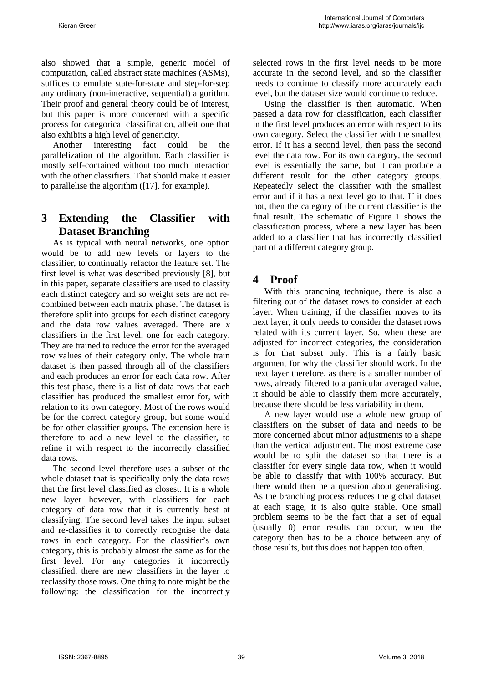also showed that a simple, generic model of computation, called abstract state machines (ASMs), suffices to emulate state-for-state and step-for-step any ordinary (non-interactive, sequential) algorithm. Their proof and general theory could be of interest, but this paper is more concerned with a specific process for categorical classification, albeit one that also exhibits a high level of genericity.

Another interesting fact could be the parallelization of the algorithm. Each classifier is mostly self-contained without too much interaction with the other classifiers. That should make it easier to parallelise the algorithm ([17], for example).

# **3 Extending the Classifier with Dataset Branching**

As is typical with neural networks, one option would be to add new levels or layers to the classifier, to continually refactor the feature set. The first level is what was described previously [8], but in this paper, separate classifiers are used to classify each distinct category and so weight sets are not recombined between each matrix phase. The dataset is therefore split into groups for each distinct category and the data row values averaged. There are *x* classifiers in the first level, one for each category. They are trained to reduce the error for the averaged row values of their category only. The whole train dataset is then passed through all of the classifiers and each produces an error for each data row. After this test phase, there is a list of data rows that each classifier has produced the smallest error for, with relation to its own category. Most of the rows would be for the correct category group, but some would be for other classifier groups. The extension here is therefore to add a new level to the classifier, to refine it with respect to the incorrectly classified data rows.

The second level therefore uses a subset of the whole dataset that is specifically only the data rows that the first level classified as closest. It is a whole new layer however, with classifiers for each category of data row that it is currently best at classifying. The second level takes the input subset and re-classifies it to correctly recognise the data rows in each category. For the classifier's own category, this is probably almost the same as for the first level. For any categories it incorrectly classified, there are new classifiers in the layer to reclassify those rows. One thing to note might be the following: the classification for the incorrectly selected rows in the first level needs to be more accurate in the second level, and so the classifier needs to continue to classify more accurately each level, but the dataset size would continue to reduce.

Using the classifier is then automatic. When passed a data row for classification, each classifier in the first level produces an error with respect to its own category. Select the classifier with the smallest error. If it has a second level, then pass the second level the data row. For its own category, the second level is essentially the same, but it can produce a different result for the other category groups. Repeatedly select the classifier with the smallest error and if it has a next level go to that. If it does not, then the category of the current classifier is the final result. The schematic of Figure 1 shows the classification process, where a new layer has been added to a classifier that has incorrectly classified part of a different category group.

## **4 Proof**

With this branching technique, there is also a filtering out of the dataset rows to consider at each layer. When training, if the classifier moves to its next layer, it only needs to consider the dataset rows related with its current layer. So, when these are adjusted for incorrect categories, the consideration is for that subset only. This is a fairly basic argument for why the classifier should work. In the next layer therefore, as there is a smaller number of rows, already filtered to a particular averaged value, it should be able to classify them more accurately, because there should be less variability in them.

A new layer would use a whole new group of classifiers on the subset of data and needs to be more concerned about minor adjustments to a shape than the vertical adjustment. The most extreme case would be to split the dataset so that there is a classifier for every single data row, when it would be able to classify that with 100% accuracy. But there would then be a question about generalising. As the branching process reduces the global dataset at each stage, it is also quite stable. One small problem seems to be the fact that a set of equal (usually 0) error results can occur, when the category then has to be a choice between any of those results, but this does not happen too often.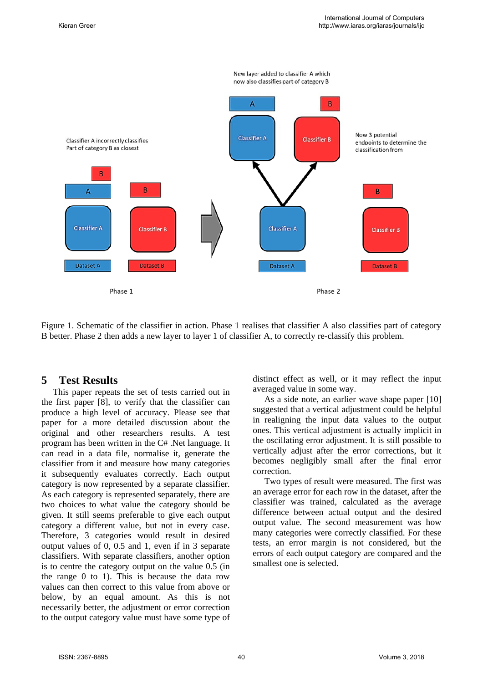

Figure 1. Schematic of the classifier in action. Phase 1 realises that classifier A also classifies part of category B better. Phase 2 then adds a new layer to layer 1 of classifier A, to correctly re-classify this problem.

### **5 Test Results**

This paper repeats the set of tests carried out in the first paper [8], to verify that the classifier can produce a high level of accuracy. Please see that paper for a more detailed discussion about the original and other researchers results. A test program has been written in the C# .Net language. It can read in a data file, normalise it, generate the classifier from it and measure how many categories it subsequently evaluates correctly. Each output category is now represented by a separate classifier. As each category is represented separately, there are two choices to what value the category should be given. It still seems preferable to give each output category a different value, but not in every case. Therefore, 3 categories would result in desired output values of 0, 0.5 and 1, even if in 3 separate classifiers. With separate classifiers, another option is to centre the category output on the value 0.5 (in the range 0 to 1). This is because the data row values can then correct to this value from above or below, by an equal amount. As this is not necessarily better, the adjustment or error correction to the output category value must have some type of distinct effect as well, or it may reflect the input averaged value in some way.

As a side note, an earlier wave shape paper [10] suggested that a vertical adjustment could be helpful in realigning the input data values to the output ones. This vertical adjustment is actually implicit in the oscillating error adjustment. It is still possible to vertically adjust after the error corrections, but it becomes negligibly small after the final error correction.

Two types of result were measured. The first was an average error for each row in the dataset, after the classifier was trained, calculated as the average difference between actual output and the desired output value. The second measurement was how many categories were correctly classified. For these tests, an error margin is not considered, but the errors of each output category are compared and the smallest one is selected.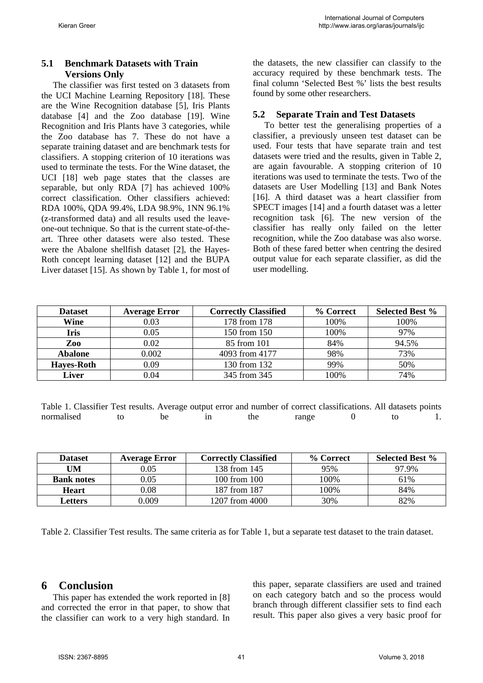#### **5.1 Benchmark Datasets with Train Versions Only**

The classifier was first tested on 3 datasets from the UCI Machine Learning Repository [18]. These are the Wine Recognition database [5], Iris Plants database [4] and the Zoo database [19]. Wine Recognition and Iris Plants have 3 categories, while the Zoo database has 7. These do not have a separate training dataset and are benchmark tests for classifiers. A stopping criterion of 10 iterations was used to terminate the tests. For the Wine dataset, the UCI [18] web page states that the classes are separable, but only RDA [7] has achieved 100% correct classification. Other classifiers achieved: RDA 100%, QDA 99.4%, LDA 98.9%, 1NN 96.1% (z-transformed data) and all results used the leaveone-out technique. So that is the current state-of-theart. Three other datasets were also tested. These were the Abalone shellfish dataset [2], the Hayes-Roth concept learning dataset [12] and the BUPA Liver dataset [15]. As shown by Table 1, for most of the datasets, the new classifier can classify to the accuracy required by these benchmark tests. The final column 'Selected Best %' lists the best results found by some other researchers.

#### **5.2 Separate Train and Test Datasets**

To better test the generalising properties of a classifier, a previously unseen test dataset can be used. Four tests that have separate train and test datasets were tried and the results, given in Table 2, are again favourable. A stopping criterion of 10 iterations was used to terminate the tests. Two of the datasets are User Modelling [13] and Bank Notes [16]. A third dataset was a heart classifier from SPECT images [14] and a fourth dataset was a letter recognition task [6]. The new version of the classifier has really only failed on the letter recognition, while the Zoo database was also worse. Both of these fared better when centring the desired output value for each separate classifier, as did the user modelling.

| <b>Dataset</b>    | <b>Average Error</b> | <b>Correctly Classified</b> | % Correct | <b>Selected Best %</b> |
|-------------------|----------------------|-----------------------------|-----------|------------------------|
| Wine              | 0.03                 | 178 from 178                | 100%      | 100%                   |
| Iris              | 0.05                 | 150 from 150                | 100%      | 97%                    |
| Zoo               | 0.02                 | 85 from 101                 | 84%       | 94.5%                  |
| <b>Abalone</b>    | 0.002                | 4093 from 4177              | 98%       | 73%                    |
| <b>Hayes-Roth</b> | 0.09                 | 130 from 132                | 99%       | 50%                    |
| Liver             | 0.04                 | 345 from 345                | 100%      | 74%                    |

| Table 1. Classifier Test results. Average output error and number of correct classifications. All datasets points |  |     |       |  |  |
|-------------------------------------------------------------------------------------------------------------------|--|-----|-------|--|--|
| normalised                                                                                                        |  | the | range |  |  |

| <b>Dataset</b>    | <b>Average Error</b> | <b>Correctly Classified</b> | % Correct | <b>Selected Best %</b> |
|-------------------|----------------------|-----------------------------|-----------|------------------------|
| UM                | 0.05                 | 138 from 145                | 95%       | 97.9%                  |
| <b>Bank notes</b> | 0.05                 | 100 from 100                | 100%      | 61%                    |
| <b>Heart</b>      | $0.08\,$             | 187 from 187                | 100%      | 84%                    |
| Letters           | 0.009                | 1207 from 4000              | 30%       | 82%                    |

Table 2. Classifier Test results. The same criteria as for Table 1, but a separate test dataset to the train dataset.

### **6 Conclusion**

This paper has extended the work reported in [8] and corrected the error in that paper, to show that the classifier can work to a very high standard. In

this paper, separate classifiers are used and trained on each category batch and so the process would branch through different classifier sets to find each result. This paper also gives a very basic proof for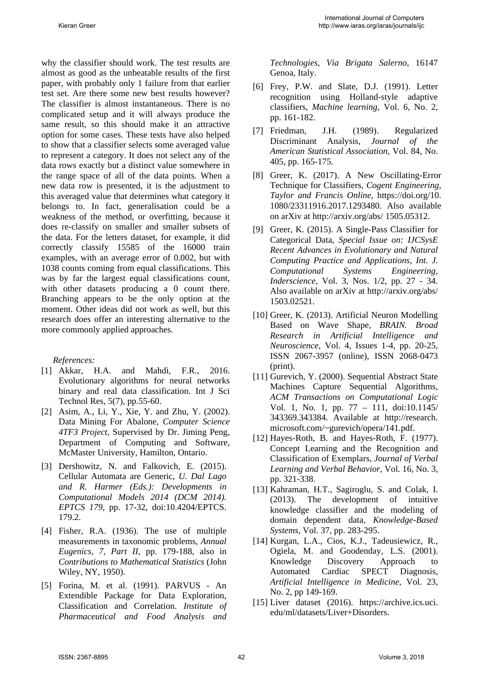why the classifier should work. The test results are almost as good as the unbeatable results of the first paper, with probably only 1 failure from that earlier test set. Are there some new best results however? The classifier is almost instantaneous. There is no complicated setup and it will always produce the same result, so this should make it an attractive option for some cases. These tests have also helped to show that a classifier selects some averaged value to represent a category. It does not select any of the data rows exactly but a distinct value somewhere in the range space of all of the data points. When a new data row is presented, it is the adjustment to this averaged value that determines what category it belongs to. In fact, generalisation could be a weakness of the method, or overfitting, because it does re-classify on smaller and smaller subsets of the data. For the letters dataset, for example, it did correctly classify 15585 of the 16000 train examples, with an average error of 0.002, but with 1038 counts coming from equal classifications. This was by far the largest equal classifications count, with other datasets producing a 0 count there. Branching appears to be the only option at the moment. Other ideas did not work as well, but this research does offer an interesting alternative to the more commonly applied approaches.

*References:* 

- [1] Akkar, H.A. and Mahdi, F.R., 2016. Evolutionary algorithms for neural networks binary and real data classification. Int J Sci Technol Res, 5(7), pp.55-60.
- [2] Asim, A., Li, Y., Xie, Y. and Zhu, Y. (2002). Data Mining For Abalone, *Computer Science 4TF3 Project*, Supervised by Dr. Jiming Peng, Department of Computing and Software, McMaster University, Hamilton, Ontario.
- [3] Dershowitz, N. and Falkovich, E. (2015). Cellular Automata are Generic, *U. Dal Lago and R. Harmer (Eds.): Developments in Computational Models 2014 (DCM 2014). EPTCS 179*, pp. 17-32, doi:10.4204/EPTCS. 179.2.
- [4] Fisher, R.A. (1936). The use of multiple measurements in taxonomic problems, *Annual Eugenics, 7, Part II*, pp. 179-188, also in *Contributions to Mathematical Statistics* (John Wiley, NY, 1950).
- [5] Forina, M. et al. (1991). PARVUS An Extendible Package for Data Exploration, Classification and Correlation. *Institute of Pharmaceutical and Food Analysis and*

*Technologies, Via Brigata Salerno*, 16147 Genoa, Italy.

- [6] Frey, P.W. and Slate, D.J. (1991). Letter recognition using Holland-style adaptive classifiers, *Machine learning*, Vol. 6, No. 2, pp. 161-182.
- [7] Friedman, J.H. (1989). Regularized Discriminant Analysis, *Journal of the American Statistical Association*, Vol. 84, No. 405, pp. 165-175.
- [8] Greer, K. (2017). A New Oscillating-Error Technique for Classifiers, *Cogent Engineering, Taylor and Francis Online*, https://doi.org/10. 1080/23311916.2017.1293480. Also available on arXiv at http://arxiv.org/abs/ 1505.05312.
- [9] Greer, K. (2015). A Single-Pass Classifier for Categorical Data, *Special Issue on: IJCSysE Recent Advances in Evolutionary and Natural Computing Practice and Applications, Int. J. Computational Systems Engineering, Inderscience*, Vol. 3, Nos. 1/2, pp. 27 - 34. Also available on arXiv at http://arxiv.org/abs/ 1503.02521.
- [10] Greer, K. (2013). Artificial Neuron Modelling Based on Wave Shape, *BRAIN. Broad Research in Artificial Intelligence and Neuroscience*, Vol. 4, Issues 1-4, pp. 20-25, ISSN 2067-3957 (online), ISSN 2068-0473 (print).
- [11] Gurevich, Y. (2000). Sequential Abstract State Machines Capture Sequential Algorithms, *ACM Transactions on Computational Logic* Vol. 1, No. 1, pp. 77 – 111, doi:10.1145/ 343369.343384. Available at http://research. microsoft.com/~gurevich/opera/141.pdf.
- [12] Hayes-Roth, B. and Hayes-Roth, F. (1977). Concept Learning and the Recognition and Classification of Exemplars, *Journal of Verbal Learning and Verbal Behavior*, Vol. 16, No. 3, pp. 321-338.
- [13] Kahraman, H.T., Sagiroglu, S. and Colak, I. (2013). The development of intuitive knowledge classifier and the modeling of domain dependent data, *Knowledge-Based Systems*, Vol. 37, pp. 283-295.
- [14] Kurgan, L.A., Cios, K.J., Tadeusiewicz, R., Ogiela, M. and Goodenday, L.S. (2001). Knowledge Discovery Approach to Automated Cardiac SPECT Diagnosis, *Artificial Intelligence in Medicine*, Vol. 23, No. 2, pp 149-169.
- [15] Liver dataset (2016). https://archive.ics.uci. edu/ml/datasets/Liver+Disorders.